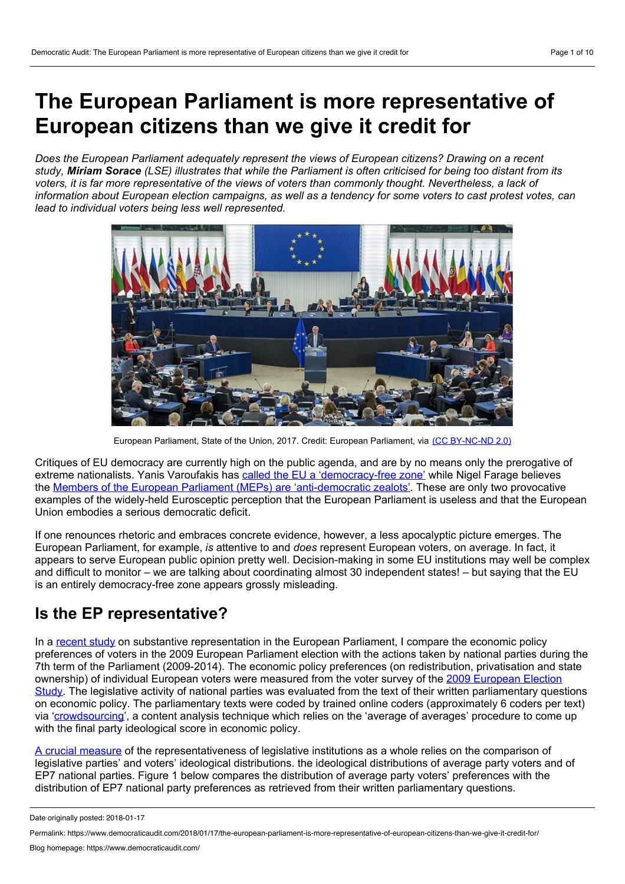## **The European Parliament is more representative of European citizens than we give it credit for**

*Does the European Parliament adequately represent the views of European citizens? Drawing on a recent* study, Miriam Sorace (LSE) illustrates that while the Parliament is often criticised for being too distant from its voters, it is far more representative of the views of voters than commonly thought. Nevertheless, a lack of information about European election campaigns, as well as a tendency for some voters to cast protest votes, can *lead to individual voters being less well represented.*



European Parliament, State of the Union, 2017. Credit: European Parliament, via (CC [BY-NC-ND](https://creativecommons.org/licenses/by-nc-nd/2.0/) 2.0)

Critiques of EU democracy are currently high on the public agenda, and are by no means only the prerogative of extreme nationalists. Yanis Varoufakis has called the EU a ['democracy-free](https://www.yanisvaroufakis.eu/2016/01/29/why-a-pan-european-democracy-movement-interviewed-by-nick-buxton/) zone' while Nigel Farage believes the Members of the European Parliament (MEPs) are ['anti-democratic](https://www.youtube.com/watch?v=Aveei10vEMY) zealots'. These are only two provocative examples of the widely-held Eurosceptic perception that the European Parliament is useless and that the European Union embodies a serious democratic deficit.

If one renounces rhetoric and embraces concrete evidence, however, a less apocalyptic picture emerges. The European Parliament, for example, *is* attentive to and *does* represent European voters, on average. In fact, it appears to serve European public opinion pretty well. Decision-making in some EU institutions may well be complex and difficult to monitor – we are talking about coordinating almost 30 independent states! – but saying that the EU is an entirely democracy-free zone appears grossly misleading.

## **Is the EP representative?**

In a [recent](https://journals.sagepub.com/doi/abs/10.1177/1465116517741562) study on substantive representation in the European Parliament, I compare the economic policy preferences of voters in the 2009 European Parliament election with the actions taken by national parties during the 7th term of the Parliament (2009-2014). The economic policy preferences (on redistribution, privatisation and state ownership) of individual European voters were measured from the voter survey of the 2009 European Election Study. The legislative activity of national parties was evaluated from the text of their written [parliamentary](https://europeanelectionstudies.net/european-election-studies/ees-2009-study/voter-study) questions on economic policy. The parliamentary texts were coded by trained online coders (approximately 6 coders per text) via '[crowdsourcing](https://kenbenoit.net/pdfs/Crowd_sourced_data_coding_APSR.pdf)', a content analysis technique which relies on the 'average of averages' procedure to come up with the final party ideological score in economic policy.

A crucial [measure](https://onlinelibrary.wiley.com/doi/10.1111/j.1540-5907.2009.00420.x/abstract) of the representativeness of legislative institutions as a whole relies on the comparison of legislative parties' and voters' ideological distributions. the ideological distributions of average party voters and of EP7 national parties. Figure 1 below compares the distribution of average party voters' preferences with the distribution of EP7 national party preferences as retrieved from their written parliamentary questions.

Date originally posted: 2018-01-17

Permalink: https://www.democraticaudit.com/2018/01/17/the-european-parliament-is-more-representative-of-european-citizens-than-we-give-it-credit-for/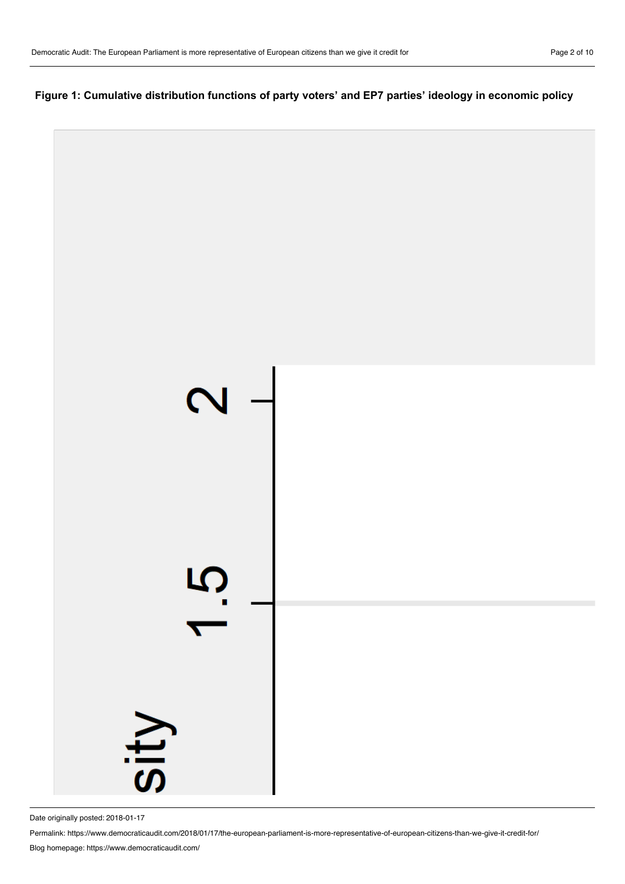#### **Figure 1: Cumulative distribution functions of party voters' and EP7 parties' ideology in economic policy**



Date originally posted: 2018-01-17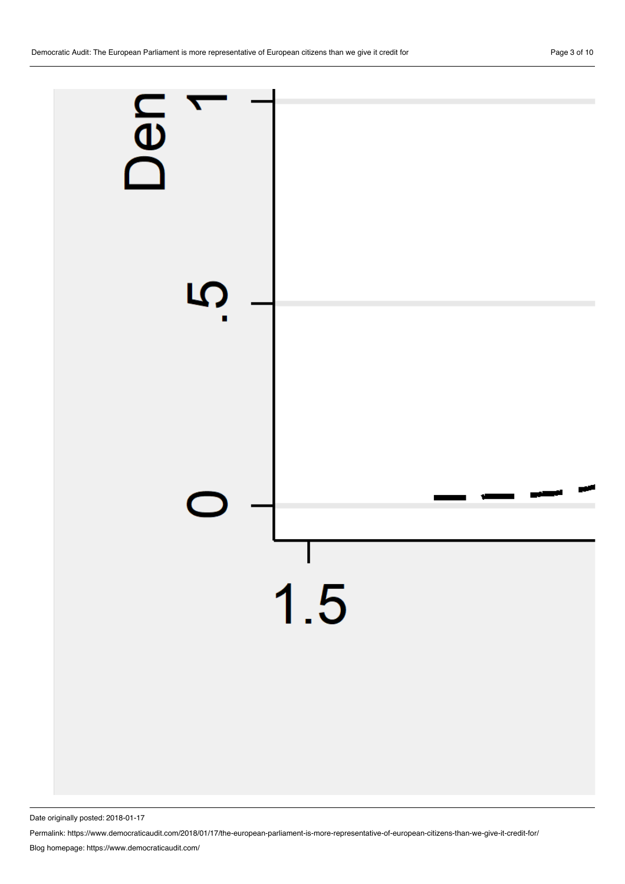

Date originally posted: 2018-01-17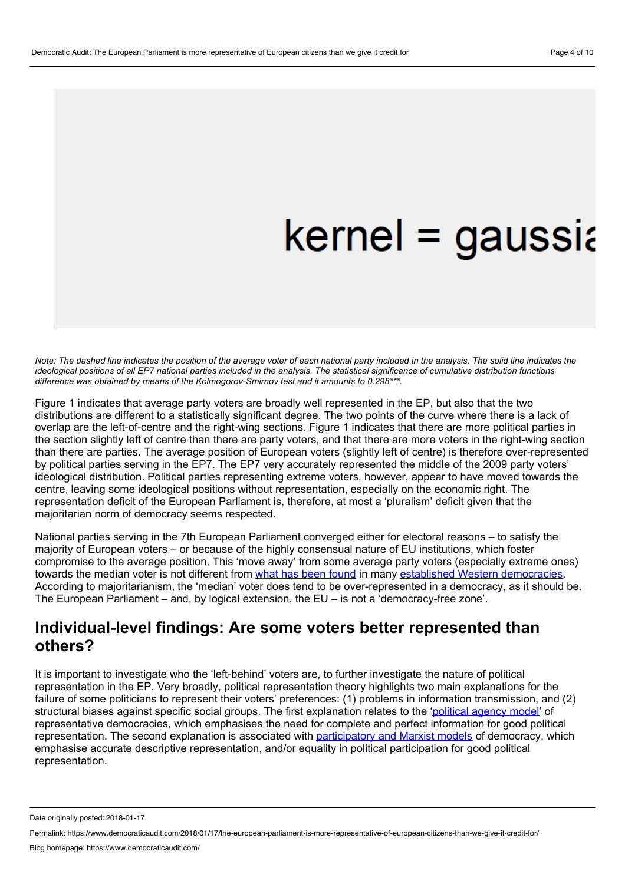# kernel = gaussia

Note: The dashed line indicates the position of the average voter of each national party included in the analysis. The solid line indicates the ideological positions of all EP7 national parties included in the analysis. The statistical significance of cumulative distribution functions *difference was obtained by means of the Kolmogorov-Smirnov test and it amounts to 0.298\*\*\*.*

Figure 1 indicates that average party voters are broadly well represented in the EP, but also that the two distributions are different to a statistically significant degree. The two points of the curve where there is a lack of overlap are the left-of-centre and the right-wing sections. Figure 1 indicates that there are more political parties in the section slightly left of centre than there are party voters, and that there are more voters in the right-wing section than there are parties. The average position of European voters (slightly left of centre) is therefore over-represented by political parties serving in the EP7. The EP7 very accurately represented the middle of the 2009 party voters' ideological distribution. Political parties representing extreme voters, however, appear to have moved towards the centre, leaving some ideological positions without representation, especially on the economic right. The representation deficit of the European Parliament is, therefore, at most a 'pluralism' deficit given that the majoritarian norm of democracy seems respected.

National parties serving in the 7th European Parliament converged either for electoral reasons – to satisfy the majority of European voters – or because of the highly consensual nature of EU institutions, which foster compromise to the average position. This 'move away' from some average party voters (especially extreme ones) towards the median voter is not different from what has been [found](https://www.cambridge.org/core/journals/american-political-science-review/article/policy-and-the-dynamics-of-political-competition/89669AF3A2D7CA5196C72272B4AEE3BC) in many established Western [democracies.](https://onlinelibrary.wiley.com/doi/10.1111/j.1540-5907.2009.00420.x/abstract) According to majoritarianism, the 'median' voter does tend to be over-represented in a democracy, as it should be. The European Parliament – and, by logical extension, the EU – is not a 'democracy-free zone'.

## **Individual-level findings: Are some voters better represented than others?**

It is important to investigate who the 'left-behind' voters are, to further investigate the nature of political representation in the EP. Very broadly, political representation theory highlights two main explanations for the failure of some politicians to represent their voters' preferences: (1) problems in information transmission, and (2) structural biases against specific social groups. The first explanation relates to the '[political](https://epge.fgv.br/we/MD/EconomiaPolitica/2007?action=AttachFile&do=get&target=Besley+completebook.pdf) agency model' of representative democracies, which emphasises the need for complete and perfect information for good political representation. The second explanation is associated with [participatory](https://www.sup.org/books/title/?id=10597) and Marxist models of democracy, which emphasise accurate descriptive representation, and/or equality in political participation for good political representation.

Date originally posted: 2018-01-17

Permalink: https://www.democraticaudit.com/2018/01/17/the-european-parliament-is-more-representative-of-european-citizens-than-we-give-it-credit-for/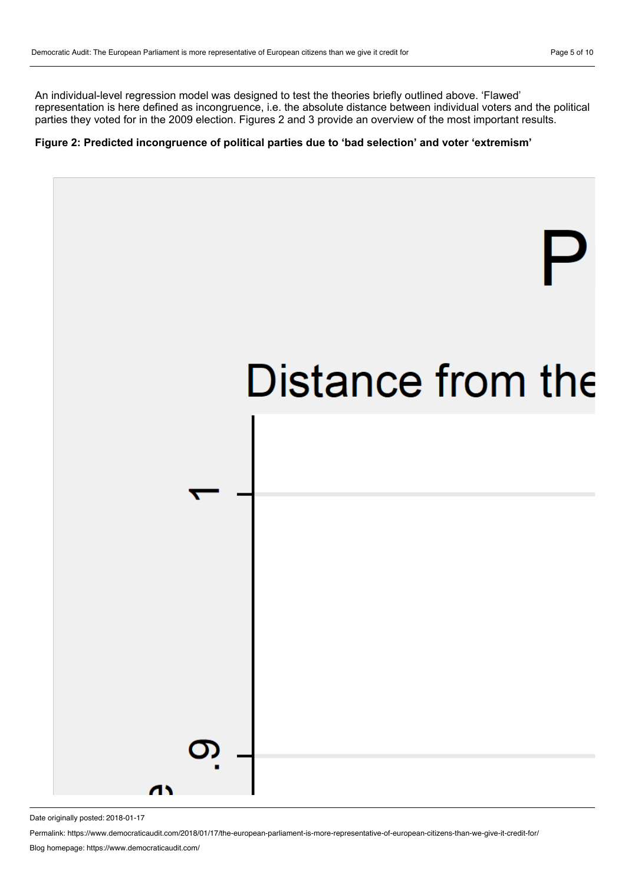An individual-level regression model was designed to test the theories briefly outlined above. 'Flawed' representation is here defined as incongruence, i.e. the absolute distance between individual voters and the political parties they voted for in the 2009 election. Figures 2 and 3 provide an overview of the most important results.

#### **Figure 2: Predicted incongruence of political parties due to 'bad selection' and voter 'extremism'**



Date originally posted: 2018-01-17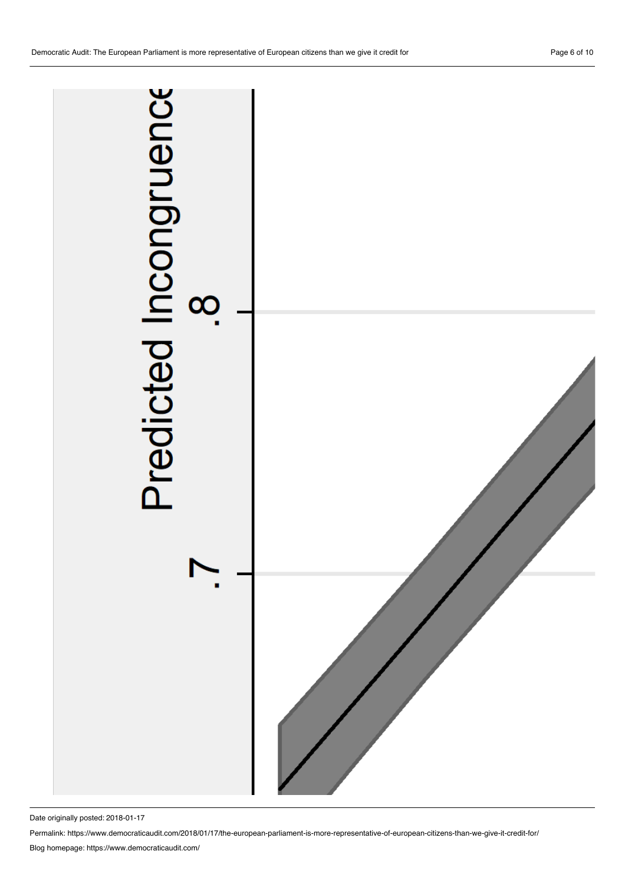

Date originally posted: 2018-01-17

Permalink: https://www.democraticaudit.com/2018/01/17/the-european-parliament-is-more-representative-of-european-citizens-than-we-give-it-credit-for/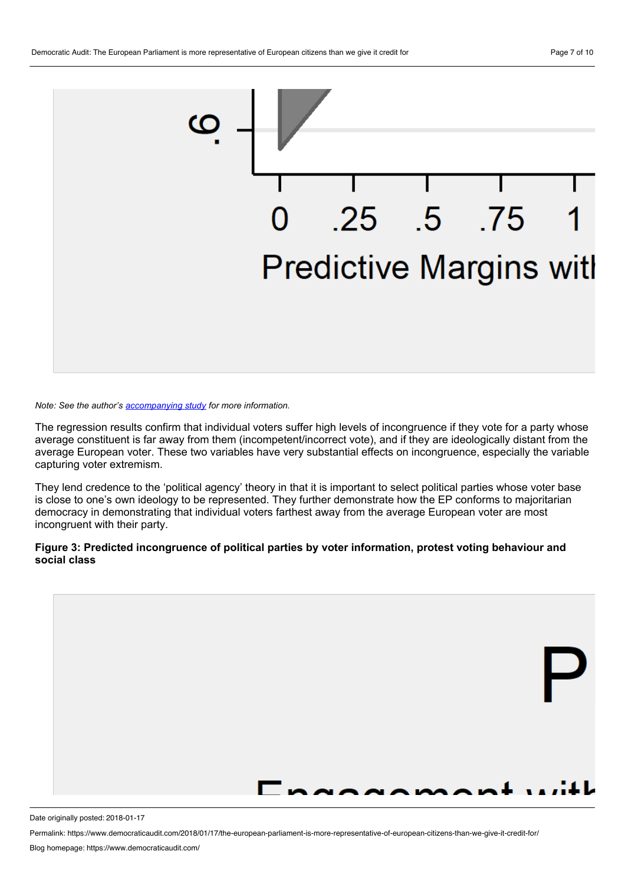

*Note: See the author's [accompanying](https://journals.sagepub.com/doi/abs/10.1177/1465116517741562) study for more information.*

The regression results confirm that individual voters suffer high levels of incongruence if they vote for a party whose average constituent is far away from them (incompetent/incorrect vote), and if they are ideologically distant from the average European voter. These two variables have very substantial effects on incongruence, especially the variable capturing voter extremism.

They lend credence to the 'political agency' theory in that it is important to select political parties whose voter base is close to one's own ideology to be represented. They further demonstrate how the EP conforms to majoritarian democracy in demonstrating that individual voters farthest away from the average European voter are most incongruent with their party.

#### **Figure 3: Predicted incongruence of political parties by voter information, protest voting behaviour and social class**

| $E$ nanananant with |  |
|---------------------|--|
|                     |  |
|                     |  |
|                     |  |

Date originally posted: 2018-01-17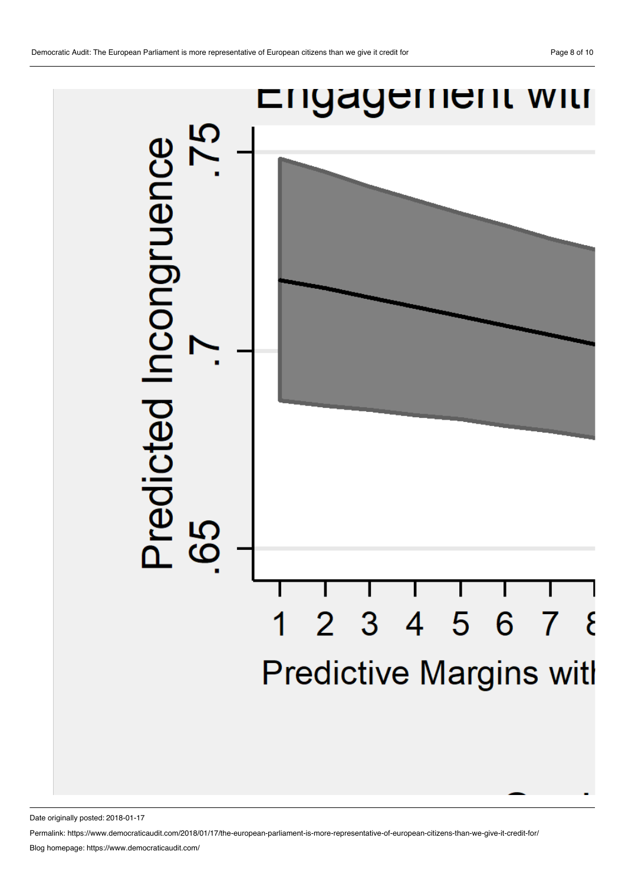

Date originally posted: 2018-01-17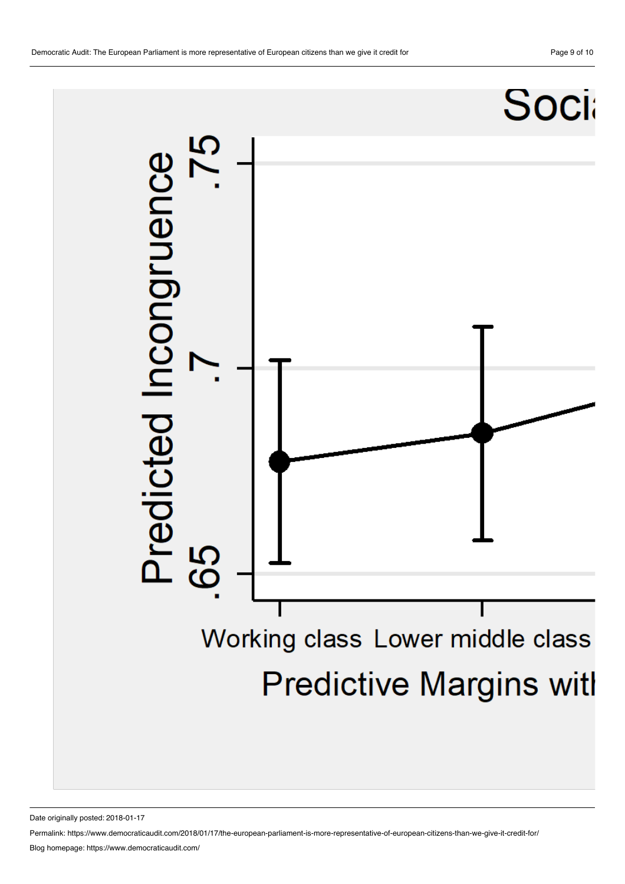![](_page_8_Figure_2.jpeg)

Date originally posted: 2018-01-17